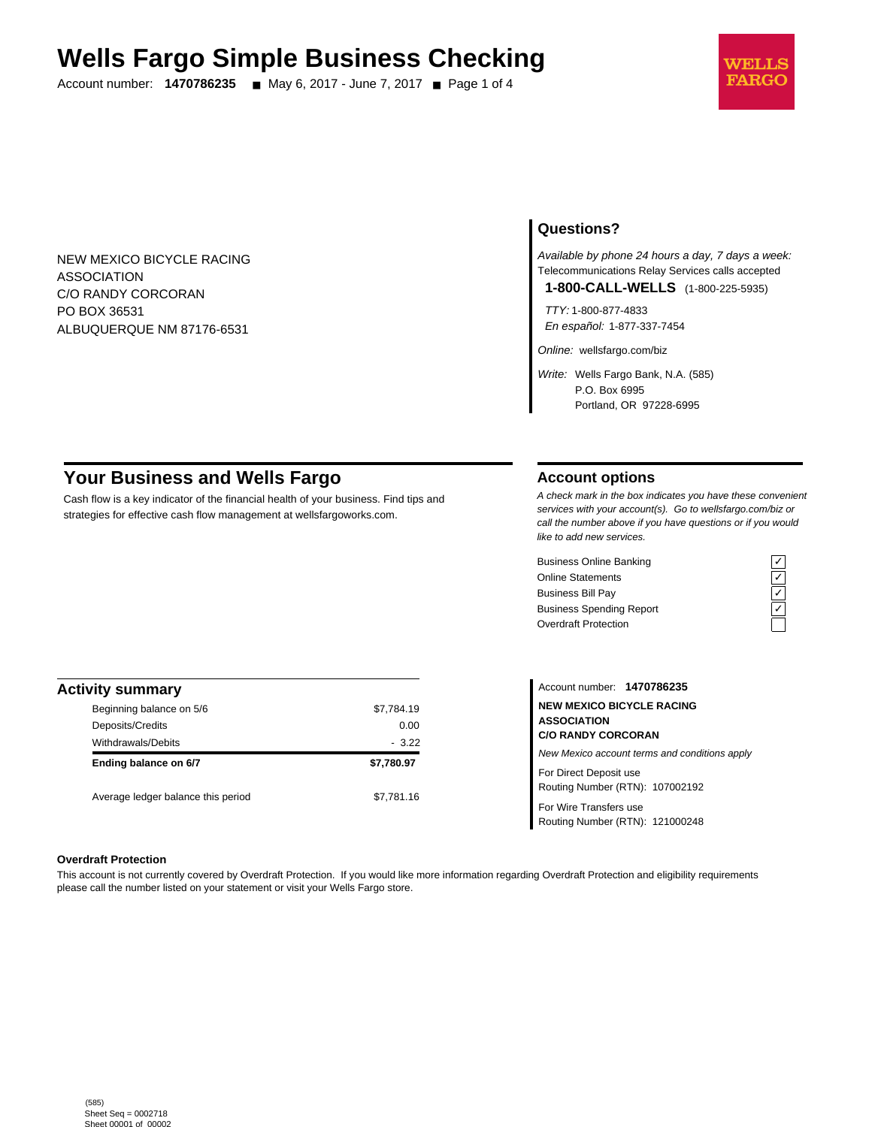# **Wells Fargo Simple Business Checking**

Account number: **1470786235** ■ May 6, 2017 - June 7, 2017 ■ Page 1 of 4



NEW MEXICO BICYCLE RACING ASSOCIATION C/O RANDY CORCORAN PO BOX 36531 ALBUQUERQUE NM 87176-6531

# **Questions?**

Available by phone 24 hours a day, 7 days a week: Telecommunications Relay Services calls accepted **1-800-CALL-WELLS** (1-800-225-5935)

TTY: 1-800-877-4833

En español: 1-877-337-7454

Online: wellsfargo.com/biz

Write: Wells Fargo Bank, N.A. (585) P.O. Box 6995 Portland, OR 97228-6995

# **Your Business and Wells Fargo**

Cash flow is a key indicator of the financial health of your business. Find tips and strategies for effective cash flow management at wellsfargoworks.com.

## **Account options**

A check mark in the box indicates you have these convenient services with your account(s). Go to wellsfargo.com/biz or call the number above if you have questions or if you would like to add new services.

Business Online Banking<br>
Online Statements<br>
Business Bill Pay<br>
Business Spending Report<br>  $\overline{C}$ <br>
Overdraft Protection<br>  $\overline{C}$ Online Statements Business Bill Pay Business Spending Report Overdraft Protection



| <b>Activity summary</b>            |            |
|------------------------------------|------------|
| Beginning balance on 5/6           | \$7,784.19 |
| Deposits/Credits                   | 0.00       |
| <b>Withdrawals/Debits</b>          | $-3.22$    |
| Ending balance on 6/7              | \$7,780.97 |
| Average ledger balance this period | \$7.781.16 |

Account number: **1470786235 NEW MEXICO BICYCLE RACING ASSOCIATION C/O RANDY CORCORAN** New Mexico account terms and conditions apply For Direct Deposit use Routing Number (RTN): 107002192

For Wire Transfers use Routing Number (RTN): 121000248

#### **Overdraft Protection**

This account is not currently covered by Overdraft Protection. If you would like more information regarding Overdraft Protection and eligibility requirements please call the number listed on your statement or visit your Wells Fargo store.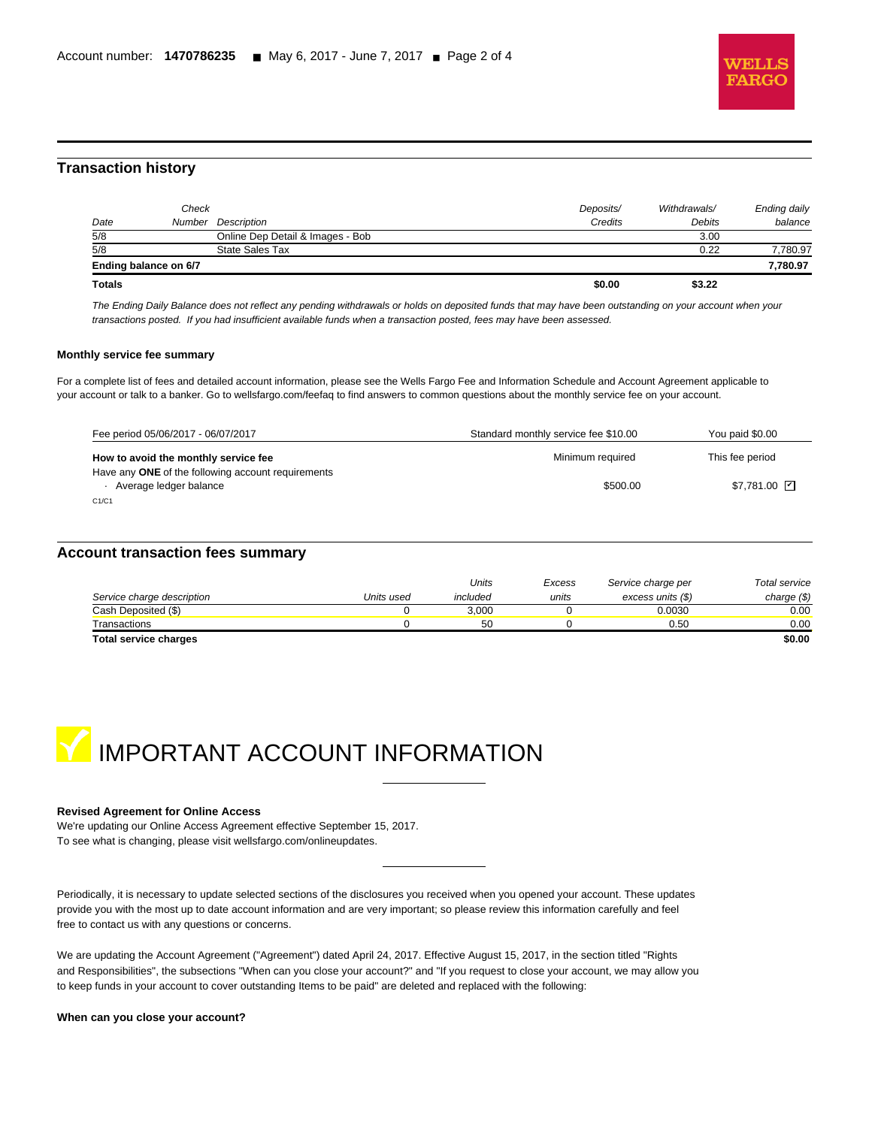

# **Transaction history**

l

| Date          | Check                 | Number Description               | Deposits/<br>Credits | Withdrawals/<br>Debits | Ending daily<br>balance |
|---------------|-----------------------|----------------------------------|----------------------|------------------------|-------------------------|
| 5/8           |                       | Online Dep Detail & Images - Bob |                      | 3.00                   |                         |
| 5/8           |                       | State Sales Tax                  |                      | 0.22                   | 7,780.97                |
|               | Ending balance on 6/7 |                                  |                      |                        | 7,780.97                |
| <b>Totals</b> |                       |                                  | \$0.00               | \$3.22                 |                         |

The Ending Daily Balance does not reflect any pending withdrawals or holds on deposited funds that may have been outstanding on your account when your transactions posted. If you had insufficient available funds when a transaction posted, fees may have been assessed.

#### **Monthly service fee summary**

For a complete list of fees and detailed account information, please see the Wells Fargo Fee and Information Schedule and Account Agreement applicable to your account or talk to a banker. Go to wellsfargo.com/feefaq to find answers to common questions about the monthly service fee on your account.

| Fee period 05/06/2017 - 06/07/2017                                           | Standard monthly service fee \$10.00 | You paid \$0.00 |
|------------------------------------------------------------------------------|--------------------------------------|-----------------|
| How to avoid the monthly service fee                                         | Minimum required                     | This fee period |
| Have any ONE of the following account requirements<br>Average ledger balance | \$500.00                             | \$7.781.00 Z    |
| C1/C1                                                                        |                                      |                 |

## **Account transaction fees summary**

|                            |            | Units    | Excess | Service charge per | Total service |
|----------------------------|------------|----------|--------|--------------------|---------------|
| Service charge description | Units used | included | units  | excess units (\$)  | charge $(\$)$ |
| Cash Deposited (\$)        |            | 3.000    |        | 0.0030             | 0.00          |
| Transactions               |            | 50       |        | 0.50               | 0.00          |
| Total service charges      |            |          |        |                    | \$0.00        |



#### **Revised Agreement for Online Access**

We're updating our Online Access Agreement effective September 15, 2017. To see what is changing, please visit wellsfargo.com/onlineupdates.

Periodically, it is necessary to update selected sections of the disclosures you received when you opened your account. These updates provide you with the most up to date account information and are very important; so please review this information carefully and feel free to contact us with any questions or concerns.

We are updating the Account Agreement ("Agreement") dated April 24, 2017. Effective August 15, 2017, in the section titled "Rights and Responsibilities", the subsections "When can you close your account?" and "If you request to close your account, we may allow you to keep funds in your account to cover outstanding Items to be paid" are deleted and replaced with the following:

**When can you close your account?**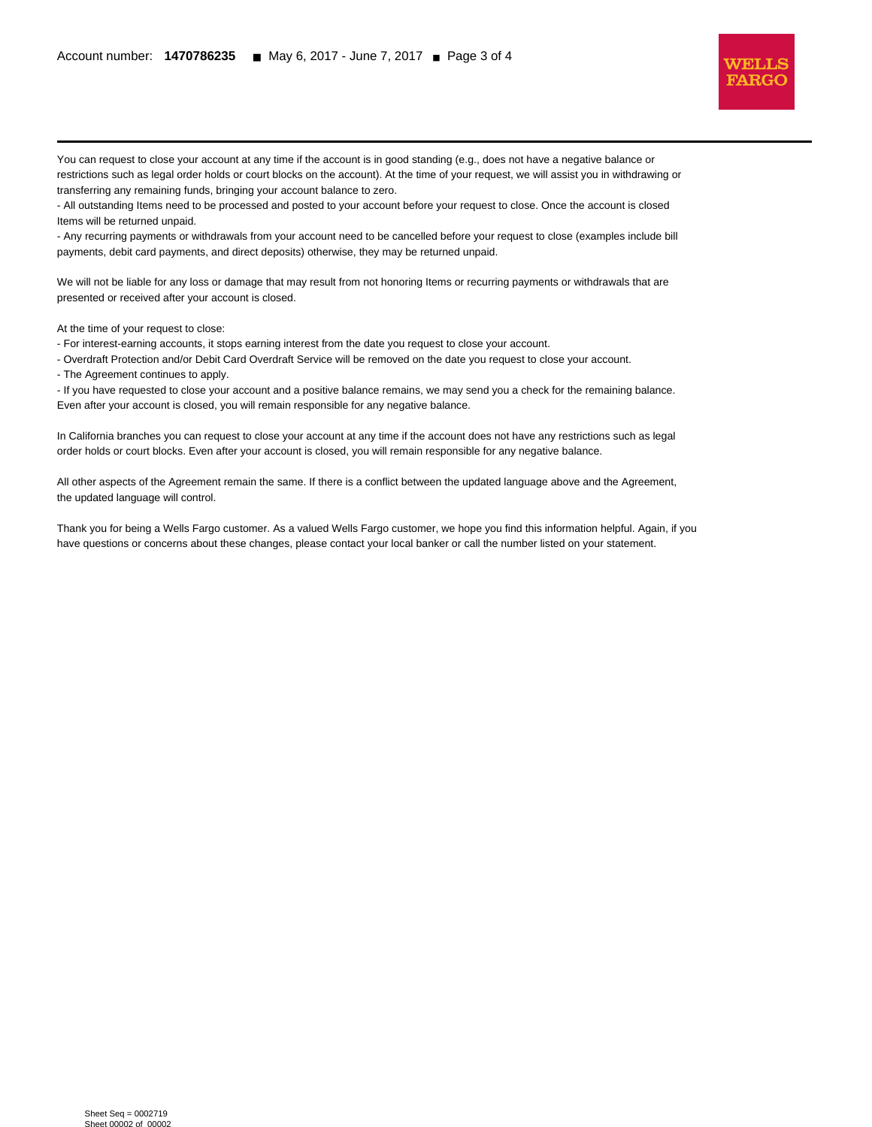

You can request to close your account at any time if the account is in good standing (e.g., does not have a negative balance or restrictions such as legal order holds or court blocks on the account). At the time of your request, we will assist you in withdrawing or transferring any remaining funds, bringing your account balance to zero.

- All outstanding Items need to be processed and posted to your account before your request to close. Once the account is closed Items will be returned unpaid.

- Any recurring payments or withdrawals from your account need to be cancelled before your request to close (examples include bill payments, debit card payments, and direct deposits) otherwise, they may be returned unpaid.

We will not be liable for any loss or damage that may result from not honoring Items or recurring payments or withdrawals that are presented or received after your account is closed.

At the time of your request to close:

l

- For interest-earning accounts, it stops earning interest from the date you request to close your account.

- Overdraft Protection and/or Debit Card Overdraft Service will be removed on the date you request to close your account.

- The Agreement continues to apply.

- If you have requested to close your account and a positive balance remains, we may send you a check for the remaining balance. Even after your account is closed, you will remain responsible for any negative balance.

In California branches you can request to close your account at any time if the account does not have any restrictions such as legal order holds or court blocks. Even after your account is closed, you will remain responsible for any negative balance.

All other aspects of the Agreement remain the same. If there is a conflict between the updated language above and the Agreement, the updated language will control.

Thank you for being a Wells Fargo customer. As a valued Wells Fargo customer, we hope you find this information helpful. Again, if you have questions or concerns about these changes, please contact your local banker or call the number listed on your statement.